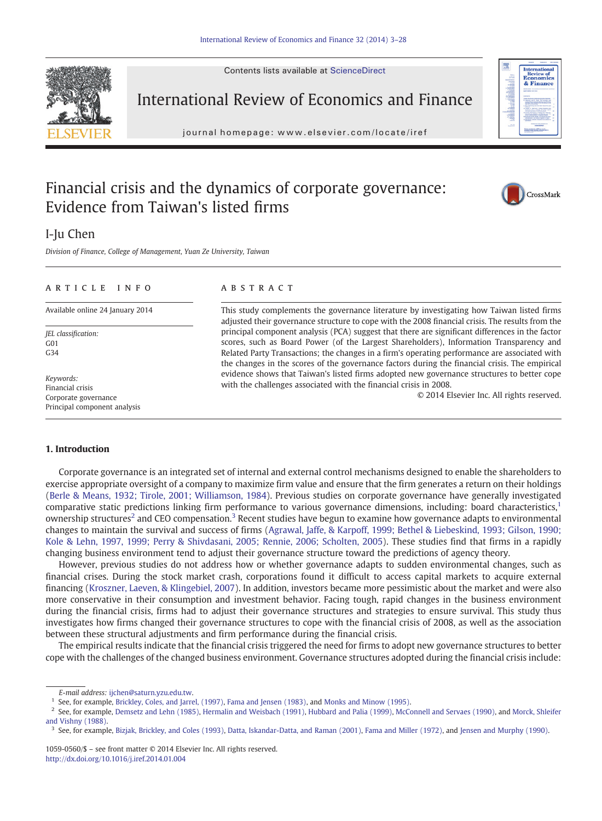Contents lists available at ScienceDirect



International Review of Economics and Finance

journal homepage: www.elsevier.com/locate/iref

## Financial crisis and the dynamics of corporate governance: Evidence from Taiwan's listed firms



Division of Finance, College of Management, Yuan Ze University, Taiwan

### article info abstract

JEL classification:  $G<sub>01</sub>$ G34

Keywords: Financial crisis Corporate governance Principal component analysis

Available online 24 January 2014 This study complements the governance literature by investigating how Taiwan listed firms adjusted their governance structure to cope with the 2008 financial crisis. The results from the principal component analysis (PCA) suggest that there are significant differences in the factor scores, such as Board Power (of the Largest Shareholders), Information Transparency and Related Party Transactions; the changes in a firm's operating performance are associated with the changes in the scores of the governance factors during the financial crisis. The empirical evidence shows that Taiwan's listed firms adopted new governance structures to better cope with the challenges associated with the financial crisis in 2008.

© 2014 Elsevier Inc. All rights reserved.

### 1. Introduction

Corporate governance is an integrated set of internal and external control mechanisms designed to enable the shareholders to exercise appropriate oversight of a company to maximize firm value and ensure that the firm generates a return on their holdings ([Berle & Means, 1932; Tirole, 2001; Williamson, 1984\)](#page--1-0). Previous studies on corporate governance have generally investigated comparative static predictions linking firm performance to various governance dimensions, including: board characteristics,<sup>1</sup> ownership structures<sup>2</sup> and CEO compensation.<sup>3</sup> Recent studies have begun to examine how governance adapts to environmental changes to maintain the survival and success of firms ([Agrawal, Jaffe, & Karpoff, 1999; Bethel & Liebeskind, 1993; Gilson, 1990;](#page--1-0) [Kole & Lehn, 1997, 1999; Perry & Shivdasani, 2005; Rennie, 2006; Scholten, 2005\)](#page--1-0). These studies find that firms in a rapidly changing business environment tend to adjust their governance structure toward the predictions of agency theory.

However, previous studies do not address how or whether governance adapts to sudden environmental changes, such as financial crises. During the stock market crash, corporations found it difficult to access capital markets to acquire external financing (Kroszner, Laeven, & Klingebiel, 2007). In addition, investors became more pessimistic about the market and were also more conservative in their consumption and investment behavior. Facing tough, rapid changes in the business environment during the financial crisis, firms had to adjust their governance structures and strategies to ensure survival. This study thus investigates how firms changed their governance structures to cope with the financial crisis of 2008, as well as the association between these structural adjustments and firm performance during the financial crisis.

The empirical results indicate that the financial crisis triggered the need for firms to adopt new governance structures to better cope with the challenges of the changed business environment. Governance structures adopted during the financial crisis include:



CrossMark

E-mail address: [ijchen@saturn.yzu.edu.tw](mailto:ijchen@saturn.yzu.edu.tw).

<sup>&</sup>lt;sup>1</sup> See, for example, [Brickley, Coles, and Jarrel, \(1997\)](#page--1-0), [Fama and Jensen \(1983\)](#page--1-0), and [Monks and Minow \(1995\)](#page--1-0).

<sup>&</sup>lt;sup>2</sup> See, for example, [Demsetz and Lehn \(1985\)](#page--1-0), [Hermalin and Weisbach \(1991\),](#page--1-0) [Hubbard and Palia \(1999\),](#page--1-0) [McConnell and Servaes \(1990\)](#page--1-0), and [Morck, Shleifer](#page--1-0) [and Vishny \(1988\)](#page--1-0).

<sup>&</sup>lt;sup>3</sup> See, for example, [Bizjak, Brickley, and Coles \(1993\),](#page--1-0) [Datta, Iskandar-Datta, and Raman \(2001\),](#page--1-0) [Fama and Miller \(1972\),](#page--1-0) and [Jensen and Murphy \(1990\).](#page--1-0)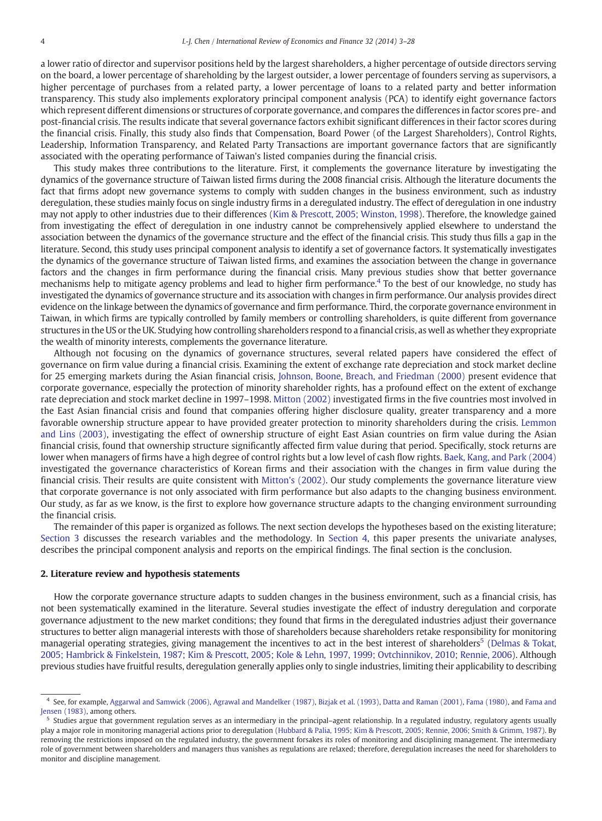a lower ratio of director and supervisor positions held by the largest shareholders, a higher percentage of outside directors serving on the board, a lower percentage of shareholding by the largest outsider, a lower percentage of founders serving as supervisors, a higher percentage of purchases from a related party, a lower percentage of loans to a related party and better information transparency. This study also implements exploratory principal component analysis (PCA) to identify eight governance factors which represent different dimensions or structures of corporate governance, and compares the differences in factor scores pre- and post-financial crisis. The results indicate that several governance factors exhibit significant differences in their factor scores during the financial crisis. Finally, this study also finds that Compensation, Board Power (of the Largest Shareholders), Control Rights, Leadership, Information Transparency, and Related Party Transactions are important governance factors that are significantly associated with the operating performance of Taiwan's listed companies during the financial crisis.

This study makes three contributions to the literature. First, it complements the governance literature by investigating the dynamics of the governance structure of Taiwan listed firms during the 2008 financial crisis. Although the literature documents the fact that firms adopt new governance systems to comply with sudden changes in the business environment, such as industry deregulation, these studies mainly focus on single industry firms in a deregulated industry. The effect of deregulation in one industry may not apply to other industries due to their differences ([Kim & Prescott, 2005; Winston, 1998](#page--1-0)). Therefore, the knowledge gained from investigating the effect of deregulation in one industry cannot be comprehensively applied elsewhere to understand the association between the dynamics of the governance structure and the effect of the financial crisis. This study thus fills a gap in the literature. Second, this study uses principal component analysis to identify a set of governance factors. It systematically investigates the dynamics of the governance structure of Taiwan listed firms, and examines the association between the change in governance factors and the changes in firm performance during the financial crisis. Many previous studies show that better governance mechanisms help to mitigate agency problems and lead to higher firm performance.4 To the best of our knowledge, no study has investigated the dynamics of governance structure and its association with changes in firm performance. Our analysis provides direct evidence on the linkage between the dynamics of governance and firm performance. Third, the corporate governance environment in Taiwan, in which firms are typically controlled by family members or controlling shareholders, is quite different from governance structures in the US or the UK. Studying how controlling shareholders respond to a financial crisis, as well as whether they expropriate the wealth of minority interests, complements the governance literature.

Although not focusing on the dynamics of governance structures, several related papers have considered the effect of governance on firm value during a financial crisis. Examining the extent of exchange rate depreciation and stock market decline for 25 emerging markets during the Asian financial crisis, Johnson, Boone, Breach, and Friedman (2000) present evidence that corporate governance, especially the protection of minority shareholder rights, has a profound effect on the extent of exchange rate depreciation and stock market decline in 1997–1998. Mitton (2002) investigated firms in the five countries most involved in the East Asian financial crisis and found that companies offering higher disclosure quality, greater transparency and a more favorable ownership structure appear to have provided greater protection to minority shareholders during the crisis. Lemmon and Lins (2003), investigating the effect of ownership structure of eight East Asian countries on firm value during the Asian financial crisis, found that ownership structure significantly affected firm value during that period. Specifically, stock returns are lower when managers of firms have a high degree of control rights but a low level of cash flow rights. Baek, Kang, and Park (2004) investigated the governance characteristics of Korean firms and their association with the changes in firm value during the financial crisis. Their results are quite consistent with Mitton's (2002). Our study complements the governance literature view that corporate governance is not only associated with firm performance but also adapts to the changing business environment. Our study, as far as we know, is the first to explore how governance structure adapts to the changing environment surrounding the financial crisis.

The remainder of this paper is organized as follows. The next section develops the hypotheses based on the existing literature; Section 3 discusses the research variables and the methodology. In Section 4, this paper presents the univariate analyses, describes the principal component analysis and reports on the empirical findings. The final section is the conclusion.

#### 2. Literature review and hypothesis statements

How the corporate governance structure adapts to sudden changes in the business environment, such as a financial crisis, has not been systematically examined in the literature. Several studies investigate the effect of industry deregulation and corporate governance adjustment to the new market conditions; they found that firms in the deregulated industries adjust their governance structures to better align managerial interests with those of shareholders because shareholders retake responsibility for monitoring managerial operating strategies, giving management the incentives to act in the best interest of shareholders<sup>5</sup> [\(Delmas & Tokat,](#page--1-0) [2005; Hambrick & Finkelstein, 1987; Kim & Prescott, 2005; Kole & Lehn, 1997, 1999; Ovtchinnikov, 2010; Rennie, 2006\)](#page--1-0). Although previous studies have fruitful results, deregulation generally applies only to single industries, limiting their applicability to describing

<sup>4</sup> See, for example, [Aggarwal and Samwick \(2006\),](#page--1-0) [Agrawal and Mandelker \(1987\),](#page--1-0) [Bizjak et al. \(1993\)](#page--1-0), [Datta and Raman \(2001\)](#page--1-0), [Fama \(1980\)](#page--1-0), and [Fama and](#page--1-0) [Jensen \(1983\)](#page--1-0), among others.

<sup>&</sup>lt;sup>5</sup> Studies argue that government regulation serves as an intermediary in the principal–agent relationship. In a regulated industry, regulatory agents usually play a major role in monitoring managerial actions prior to deregulation [\(Hubbard & Palia, 1995; Kim & Prescott, 2005; Rennie, 2006; Smith & Grimm, 1987\)](#page--1-0). By removing the restrictions imposed on the regulated industry, the government forsakes its roles of monitoring and disciplining management. The intermediary role of government between shareholders and managers thus vanishes as regulations are relaxed; therefore, deregulation increases the need for shareholders to monitor and discipline management.